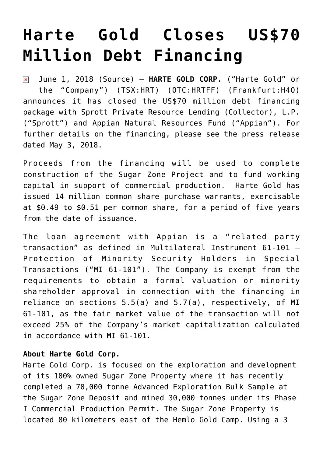## **[Harte Gold Closes US\\$70](https://investorintel.com/markets/gold-silver-base-metals/gold-precious-metals-news/harte-gold-closes-us70-million-debt-financing/) [Million Debt Financing](https://investorintel.com/markets/gold-silver-base-metals/gold-precious-metals-news/harte-gold-closes-us70-million-debt-financing/)**

June 1, 2018 ([Source\)](https://investorintel.com/iintel-members/harte-gold-corp/) — **HARTE GOLD CORP.** ("Harte Gold" or  $\pmb{\times}$ the "Company") (TSX:[HRT\)](http://globenewswire.com/News/Listing?symbol=HRT&exchange=12) (OTC:HRTFF) (Frankfurt:[H4O\)](http://globenewswire.com/News/Listing?symbol=H4O&exchange=9) announces it has closed the US\$70 million debt financing package with Sprott Private Resource Lending (Collector), L.P. ("Sprott") and Appian Natural Resources Fund ("Appian"). For further details on the financing, please see the press release dated May 3, 2018.

Proceeds from the financing will be used to complete construction of the Sugar Zone Project and to fund working capital in support of commercial production. Harte Gold has issued 14 million common share purchase warrants, exercisable at \$0.49 to \$0.51 per common share, for a period of five years from the date of issuance.

The loan agreement with Appian is a "related party transaction" as defined in Multilateral Instrument 61-101 – Protection of Minority Security Holders in Special Transactions ("MI 61-101"). The Company is exempt from the requirements to obtain a formal valuation or minority shareholder approval in connection with the financing in reliance on sections 5.5(a) and 5.7(a), respectively, of MI 61-101, as the fair market value of the transaction will not exceed 25% of the Company's market capitalization calculated in accordance with MI 61-101.

## **About Harte Gold Corp.**

Harte Gold Corp. is focused on the exploration and development of its 100% owned Sugar Zone Property where it has recently completed a 70,000 tonne Advanced Exploration Bulk Sample at the Sugar Zone Deposit and mined 30,000 tonnes under its Phase I Commercial Production Permit. The Sugar Zone Property is located 80 kilometers east of the Hemlo Gold Camp. Using a 3